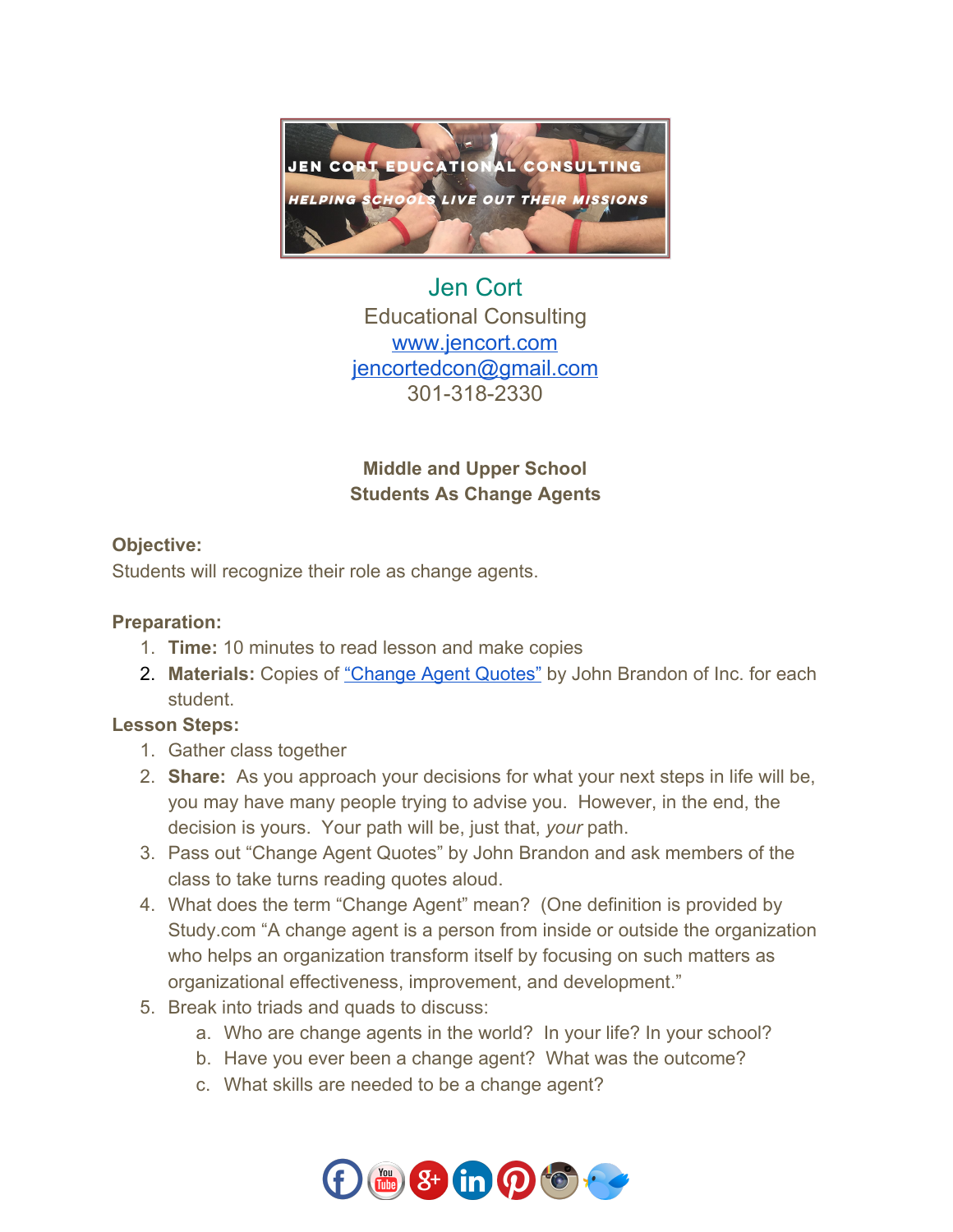

Jen Cort Educational Consulting [www.jencort.com](http://www.jencort.com/) [jencortedcon@gmail.com](mailto:jencortedcon@gmail.com) 301-318-2330

# **Middle and Upper School Students As Change Agents**

### **Objective:**

Students will recognize their role as change agents.

#### **Preparation:**

- 1. **Time:** 10 minutes to read lesson and make copies
- 2. **Materials:** Copies of ["Change Agent Quotes"](http://www.inc.com/john-brandon/38-quotes-to-help-you-become-a-change-agent.html) by John Brandon of Inc. for each student.

## **Lesson Steps:**

- 1. Gather class together
- 2. **Share:**  As you approach your decisions for what your next steps in life will be, you may have many people trying to advise you. However, in the end, the decision is yours. Your path will be, just that, *your* path.
- 3. Pass out "Change Agent Quotes" by John Brandon and ask members of the class to take turns reading quotes aloud.
- 4. What does the term "Change Agent" mean? (One definition is provided by Study.com "A change agent is a person from inside or outside the organization who helps an organization transform itself by focusing on such matters as organizational effectiveness, improvement, and development."
- 5. Break into triads and quads to discuss:
	- a. Who are change agents in the world? In your life? In your school?
	- b. Have you ever been a change agent? What was the outcome?
	- c. What skills are needed to be a change agent?